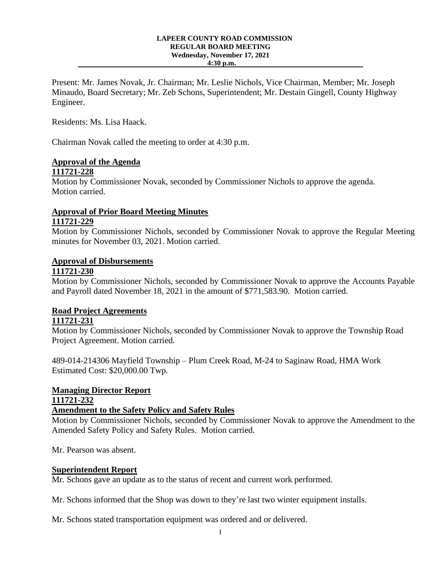#### **LAPEER COUNTY ROAD COMMISSION REGULAR BOARD MEETING Wednesday, November 17, 2021 4:30 p.m.**

Present: Mr. James Novak, Jr. Chairman; Mr. Leslie Nichols, Vice Chairman, Member; Mr. Joseph Minaudo, Board Secretary; Mr. Zeb Schons, Superintendent; Mr. Destain Gingell, County Highway Engineer.

Residents: Ms. Lisa Haack.

Chairman Novak called the meeting to order at 4:30 p.m.

# **Approval of the Agenda**

## **111721-228**

Motion by Commissioner Novak, seconded by Commissioner Nichols to approve the agenda. Motion carried.

# **Approval of Prior Board Meeting Minutes**

### **111721-229**

Motion by Commissioner Nichols, seconded by Commissioner Novak to approve the Regular Meeting minutes for November 03, 2021. Motion carried.

#### **Approval of Disbursements**

#### **111721-230**

Motion by Commissioner Nichols, seconded by Commissioner Novak to approve the Accounts Payable and Payroll dated November 18, 2021 in the amount of \$771,583.90. Motion carried.

### **Road Project Agreements**

#### **111721-231**

Motion by Commissioner Nichols, seconded by Commissioner Novak to approve the Township Road Project Agreement. Motion carried.

489-014-214306 Mayfield Township – Plum Creek Road, M-24 to Saginaw Road, HMA Work Estimated Cost: \$20,000.00 Twp.

#### **Managing Director Report 111721-232**

#### **Amendment to the Safety Policy and Safety Rules**

Motion by Commissioner Nichols, seconded by Commissioner Novak to approve the Amendment to the Amended Safety Policy and Safety Rules. Motion carried.

Mr. Pearson was absent.

#### **Superintendent Report**

Mr. Schons gave an update as to the status of recent and current work performed.

Mr. Schons informed that the Shop was down to they're last two winter equipment installs.

Mr. Schons stated transportation equipment was ordered and or delivered.